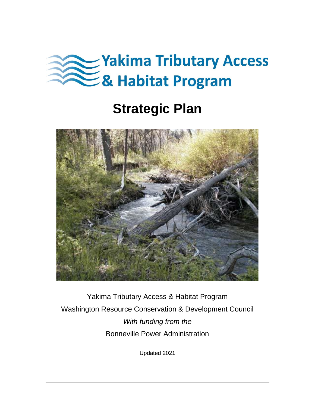

# **Strategic Plan**



Yakima Tributary Access & Habitat Program Washington Resource Conservation & Development Council *With funding from the* Bonneville Power Administration

Updated 2021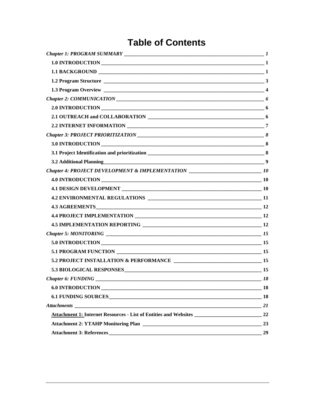## **Table of Contents**

|                                                                                   | $\overline{\mathbf{3}}$ |
|-----------------------------------------------------------------------------------|-------------------------|
|                                                                                   |                         |
|                                                                                   |                         |
|                                                                                   |                         |
|                                                                                   |                         |
|                                                                                   |                         |
|                                                                                   |                         |
|                                                                                   |                         |
|                                                                                   |                         |
|                                                                                   |                         |
| Chapter 4: PROJECT DEVELOPMENT & IMPLEMENTATION _______________________________10 |                         |
|                                                                                   |                         |
|                                                                                   |                         |
|                                                                                   |                         |
|                                                                                   |                         |
|                                                                                   |                         |
|                                                                                   |                         |
|                                                                                   |                         |
|                                                                                   |                         |
|                                                                                   |                         |
|                                                                                   |                         |
| 5.3 BIOLOGICAL RESPONSES 15                                                       |                         |
| <b>Chapter 6: FUNDING</b>                                                         | <b>18</b>               |
| 6.0 INTRODUCTION 18                                                               |                         |
|                                                                                   |                         |
|                                                                                   |                         |
|                                                                                   |                         |
|                                                                                   | 23                      |
|                                                                                   | 29                      |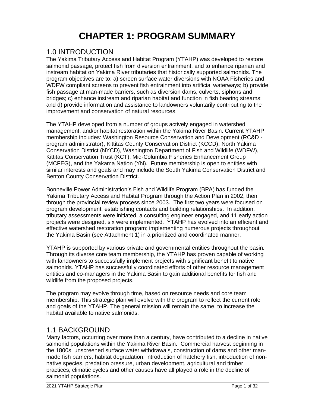## **CHAPTER 1: PROGRAM SUMMARY**

### <span id="page-2-1"></span><span id="page-2-0"></span>1.0 INTRODUCTION

The Yakima Tributary Access and Habitat Program (YTAHP) was developed to restore salmonid passage, protect fish from diversion entrainment, and to enhance riparian and instream habitat on Yakima River tributaries that historically supported salmonids. The program objectives are to: a) screen surface water diversions with NOAA Fisheries and WDFW compliant screens to prevent fish entrainment into artificial waterways; b) provide fish passage at man-made barriers, such as diversion dams, culverts, siphons and bridges; c) enhance instream and riparian habitat and function in fish bearing streams; and d) provide information and assistance to landowners voluntarily contributing to the improvement and conservation of natural resources.

The YTAHP developed from a number of groups actively engaged in watershed management, and/or habitat restoration within the Yakima River Basin. Current YTAHP membership includes: Washington Resource Conservation and Development (RC&D program administrator), Kittitas County Conservation District (KCCD), North Yakima Conservation District (NYCD), Washington Department of Fish and Wildlife (WDFW), Kittitas Conservation Trust (KCT), Mid-Columbia Fisheries Enhancement Group (MCFEG), and the Yakama Nation (YN). Future membership is open to entities with similar interests and goals and may include the South Yakima Conservation District and Benton County Conservation District.

Bonneville Power Administration's Fish and Wildlife Program (BPA) has funded the Yakima Tributary Access and Habitat Program through the Action Plan in 2002, then through the provincial review process since 2003. The first two years were focused on program development, establishing contacts and building relationships. In addition, tributary assessments were initiated, a consulting engineer engaged, and 11 early action projects were designed, six were implemented. YTAHP has evolved into an efficient and effective watershed restoration program; implementing numerous projects throughout the Yakima Basin (see Attachment 1) in a prioritized and coordinated manner.

YTAHP is supported by various private and governmental entities throughout the basin. Through its diverse core team membership, the YTAHP has proven capable of working with landowners to successfully implement projects with significant benefit to native salmonids. YTAHP has successfully coordinated efforts of other resource management entities and co-managers in the Yakima Basin to gain additional benefits for fish and wildlife from the proposed projects.

The program may evolve through time, based on resource needs and core team membership. This strategic plan will evolve with the program to reflect the current role and goals of the YTAHP. The general mission will remain the same, to increase the habitat available to native salmonids.

### <span id="page-2-2"></span>1.1 BACKGROUND

Many factors, occurring over more than a century, have contributed to a decline in native salmonid populations within the Yakima River Basin. Commercial harvest beginning in the 1800s, unscreened surface water withdrawals, construction of dams and other manmade fish barriers, habitat degradation, introduction of hatchery fish, introduction of nonnative species, predation pressure, urban development, agricultural and timber practices, climatic cycles and other causes have all played a role in the decline of salmonid populations.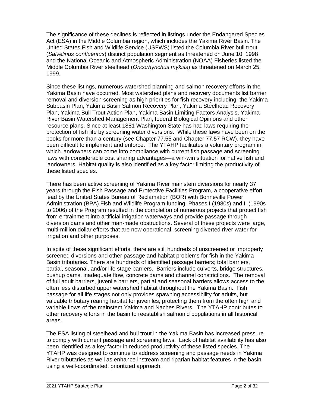The significance of these declines is reflected in listings under the Endangered Species Act (ESA) in the Middle Columbia region, which includes the Yakima River Basin. The United States Fish and Wildlife Service (USFWS) listed the Columbia River bull trout (*Salvelinus confluentus*) distinct population segment as threatened on June 10, 1998 and the National Oceanic and Atmospheric Administration (NOAA) Fisheries listed the Middle Columbia River steelhead (*Oncorhynchus mykiss*) as threatened on March 25, 1999.

Since these listings, numerous watershed planning and salmon recovery efforts in the Yakima Basin have occurred. Most watershed plans and recovery documents list barrier removal and diversion screening as high priorities for fish recovery including: the Yakima Subbasin Plan, Yakima Basin Salmon Recovery Plan, Yakima Steelhead Recovery Plan, Yakima Bull Trout Action Plan, Yakima Basin Limiting Factors Analysis, Yakima River Basin Watershed Management Plan, federal Biological Opinions and other resource plans. Since at least 1881 Washington State has had laws requiring the protection of fish life by screening water diversions. While these laws have been on the books for more than a century (see Chapter 77.55 and Chapter 77.57 RCW), they have been difficult to implement and enforce. The YTAHP facilitates a voluntary program in which landowners can come into compliance with current fish passage and screening laws with considerable cost sharing advantages—a win-win situation for native fish and landowners. Habitat quality is also identified as a key factor limiting the productivity of these listed species.

There has been active screening of Yakima River mainstem diversions for nearly 37 years through the Fish Passage and Protective Facilities Program, a cooperative effort lead by the United States Bureau of Reclamation (BOR) with Bonneville Power Administration (BPA) Fish and Wildlife Program funding. Phases I (1980s) and II (1990s to 2006) of the Program resulted in the completion of numerous projects that protect fish from entrainment into artificial irrigation waterways and provide passage through diversion dams and other man-made obstructions. Several of these projects were large, multi-million dollar efforts that are now operational, screening diverted river water for irrigation and other purposes.

In spite of these significant efforts, there are still hundreds of unscreened or improperly screened diversions and other passage and habitat problems for fish in the Yakima Basin tributaries. There are hundreds of identified passage barriers; total barriers, partial, seasonal, and/or life stage barriers. Barriers include culverts, bridge structures, pushup dams, inadequate flow, concrete dams and channel constrictions. The removal of full adult barriers, juvenile barriers, partial and seasonal barriers allows access to the often less disturbed upper watershed habitat throughout the Yakima Basin. Fish passage for all life stages not only provides spawning accessibility for adults, but valuable tributary rearing habitat for juveniles; protecting them from the often high and variable flows of the mainstem Yakima and Naches Rivers. The YTAHP contributes to other recovery efforts in the basin to reestablish salmonid populations in all historical areas.

The ESA listing of steelhead and bull trout in the Yakima Basin has increased pressure to comply with current passage and screening laws. Lack of habitat availability has also been identified as a key factor in reduced productivity of these listed species. The YTAHP was designed to continue to address screening and passage needs in Yakima River tributaries as well as enhance instream and riparian habitat features in the basin using a well-coordinated, prioritized approach.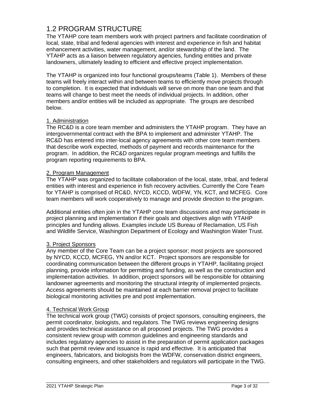## <span id="page-4-0"></span>1.2 PROGRAM STRUCTURE

The YTAHP core team members work with project partners and facilitate coordination of local, state, tribal and federal agencies with interest and experience in fish and habitat enhancement activities, water management, and/or stewardship of the land. The YTAHP acts as a liaison between regulatory agencies, funding entities and private landowners, ultimately leading to efficient and effective project implementation.

The YTAHP is organized into four functional groups/teams (Table 1). Members of these teams will freely interact within and between teams to efficiently move projects through to completion.It is expected that individuals will serve on more than one team and that teams will change to best meet the needs of individual projects. In addition, other members and/or entities will be included as appropriate. The groups are described below.

### 1. Administration

The RC&D is a core team member and administers the YTAHP program. They have an intergovernmental contract with the BPA to implement and administer YTAHP. The RC&D has entered into inter-local agency agreements with other core team members that describe work expected, methods of payment and records maintenance for the program. In addition, the RC&D organizes regular program meetings and fulfills the program reporting requirements to BPA.

### 2. Program Management

The YTAHP was organized to facilitate collaboration of the local, state, tribal, and federal entities with interest and experience in fish recovery activities. Currently the Core Team for YTAHP is comprised of RC&D, NYCD, KCCD, WDFW, YN, KCT, and MCFEG. Core team members will work cooperatively to manage and provide direction to the program.

Additional entities often join in the YTAHP core team discussions and may participate in project planning and implementation if their goals and objectives align with YTAHP principles and funding allows. Examples include US Bureau of Reclamation, US Fish and Wildlife Service, Washington Department of Ecology and Washington Water Trust.

### 3. Project Sponsors

Any member of the Core Team can be a project sponsor; most projects are sponsored by NYCD, KCCD, MCFEG, YN and/or KCT. Project sponsors are responsible for coordinating communication between the different groups in YTAHP, facilitating project planning, provide information for permitting and funding, as well as the construction and implementation activities. In addition, project sponsors will be responsible for obtaining landowner agreements and monitoring the structural integrity of implemented projects. Access agreements should be maintained at each barrier removal project to facilitate biological monitoring activities pre and post implementation.

### 4. Technical Work Group

The technical work group (TWG) consists of project sponsors, consulting engineers, the permit coordinator, biologists, and regulators. The TWG reviews engineering designs and provides technical assistance on all proposed projects. The TWG provides a consistent review group with common guidelines and engineering standards and includes regulatory agencies to assist in the preparation of permit application packages such that permit review and issuance is rapid and effective. It is anticipated that engineers, fabricators, and biologists from the WDFW, conservation district engineers, consulting engineers, and other stakeholders and regulators will participate in the TWG.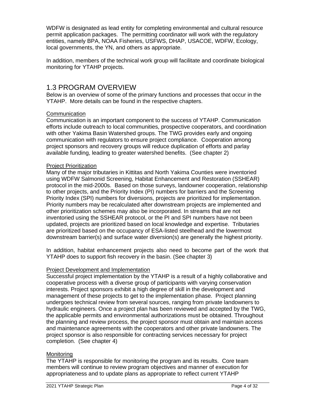WDFW is designated as lead entity for completing environmental and cultural resource permit application packages. The permitting coordinator will work with the regulatory entities, namely BPA, NOAA Fisheries, USFWS, DHAP, USACOE, WDFW, Ecology, local governments, the YN, and others as appropriate.

In addition, members of the technical work group will facilitate and coordinate biological monitoring for YTAHP projects.

## <span id="page-5-0"></span>1.3 PROGRAM OVERVIEW

Below is an overview of some of the primary functions and processes that occur in the YTAHP. More details can be found in the respective chapters.

### **Communication**

Communication is an important component to the success of YTAHP. Communication efforts include outreach to local communities, prospective cooperators, and coordination with other Yakima Basin Watershed groups. The TWG provides early and ongoing communication with regulators to ensure project compliance. Cooperation among project sponsors and recovery groups will reduce duplication of efforts and parlay available funding, leading to greater watershed benefits. (See chapter 2)

### Project Prioritization

Many of the major tributaries in Kittitas and North Yakima Counties were inventoried using WDFW Salmonid Screening, Habitat Enhancement and Restoration (SSHEAR) protocol in the mid-2000s. Based on those surveys, landowner cooperation, relationship to other projects, and the Priority Index (PI) numbers for barriers and the Screening Priority Index (SPI) numbers for diversions, projects are prioritized for implementation. Priority numbers may be recalculated after downstream projects are implemented and other prioritization schemes may also be incorporated. In streams that are not inventoried using the SSHEAR protocol, or the PI and SPI numbers have not been updated, projects are prioritized based on local knowledge and expertise. Tributaries are prioritized based on the occupancy of ESA-listed steelhead and the lowermost downstream barrier(s) and surface water diversion(s) are generally the highest priority.

In addition, habitat enhancement projects also need to become part of the work that YTAHP does to support fish recovery in the basin. (See chapter 3)

### Project Development and Implementation

Successful project implementation by the YTAHP is a result of a highly collaborative and cooperative process with a diverse group of participants with varying conservation interests. Project sponsors exhibit a high degree of skill in the development and management of these projects to get to the implementation phase. Project planning undergoes technical review from several sources, ranging from private landowners to hydraulic engineers. Once a project plan has been reviewed and accepted by the TWG, the applicable permits and environmental authorizations must be obtained. Throughout the planning and review process, the project sponsor must obtain and maintain access and maintenance agreements with the cooperators and other private landowners. The project sponsor is also responsible for contracting services necessary for project completion. (See chapter 4)

### Monitoring

The YTAHP is responsible for monitoring the program and its results. Core team members will continue to review program objectives and manner of execution for appropriateness and to update plans as appropriate to reflect current YTAHP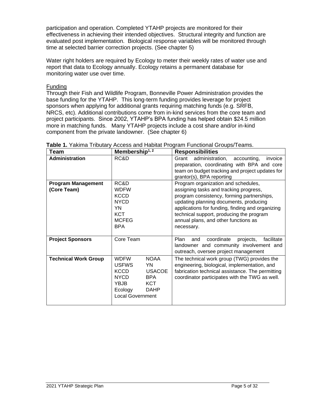participation and operation. Completed YTAHP projects are monitored for their effectiveness in achieving their intended objectives. Structural integrity and function are evaluated post implementation. Biological response variables will be monitored through time at selected barrier correction projects. (See chapter 5)

Water right holders are required by Ecology to meter their weekly rates of water use and report that data to Ecology annually. Ecology retains a permanent database for monitoring water use over time.

Funding

Through their Fish and Wildlife Program, Bonneville Power Administration provides the base funding for the YTAHP. This long-term funding provides leverage for project sponsors when applying for additional grants requiring matching funds (e.g. SRFB, NRCS, etc). Additional contributions come from in-kind services from the core team and project participants. Since 2002, YTAHP's BPA funding has helped obtain \$24.5 million more in matching funds. Many YTAHP projects include a cost share and/or in-kind component from the private landowner. (See chapter 6)

| Team                                     | Membership <sup>1, 2</sup>                                                                                                                                                                      | <b>Responsibilities</b>                                                                                                                                                                                                                                                                                                     |
|------------------------------------------|-------------------------------------------------------------------------------------------------------------------------------------------------------------------------------------------------|-----------------------------------------------------------------------------------------------------------------------------------------------------------------------------------------------------------------------------------------------------------------------------------------------------------------------------|
| <b>Administration</b>                    | RC&D                                                                                                                                                                                            | administration,<br>Grant<br>accounting,<br>invoice<br>preparation, coordinating with BPA and core<br>team on budget tracking and project updates for<br>grantor(s), BPA reporting                                                                                                                                           |
| <b>Program Management</b><br>(Core Team) | RC&D<br><b>WDFW</b><br><b>KCCD</b><br><b>NYCD</b><br>YN<br>KCT<br><b>MCFEG</b><br><b>BPA</b>                                                                                                    | Program organization and schedules,<br>assigning tasks and tracking progress,<br>program consistency, forming partnerships,<br>updating planning documents, producing<br>applications for funding, finding and organizing<br>technical support, producing the program<br>annual plans, and other functions as<br>necessary. |
| <b>Project Sponsors</b>                  | Core Team                                                                                                                                                                                       | coordinate<br><b>Plan</b><br>projects,<br>facilitate<br>and<br>landowner and community involvement and<br>outreach, oversee project management                                                                                                                                                                              |
| <b>Technical Work Group</b>              | <b>NOAA</b><br><b>WDFW</b><br><b>USFWS</b><br>YN<br><b>KCCD</b><br><b>USACOE</b><br><b>NYCD</b><br><b>BPA</b><br><b>YBJB</b><br><b>KCT</b><br><b>DAHP</b><br>Ecology<br><b>Local Government</b> | The technical work group (TWG) provides the<br>engineering, biological, implementation, and<br>fabrication technical assistance. The permitting<br>coordinator participates with the TWG as well.                                                                                                                           |

**Table 1.** Yakima Tributary Access and Habitat Program Functional Groups/Teams.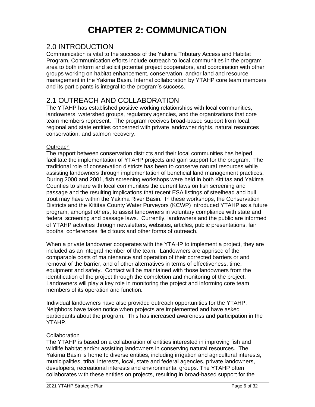## **CHAPTER 2: COMMUNICATION**

### <span id="page-7-1"></span><span id="page-7-0"></span>2.0 INTRODUCTION

Communication is vital to the success of the Yakima Tributary Access and Habitat Program. Communication efforts include outreach to local communities in the program area to both inform and solicit potential project cooperators, and coordination with other groups working on habitat enhancement, conservation, and/or land and resource management in the Yakima Basin. Internal collaboration by YTAHP core team members and its participants is integral to the program's success.

## <span id="page-7-2"></span>2.1 OUTREACH AND COLLABORATION

The YTAHP has established positive working relationships with local communities, landowners, watershed groups, regulatory agencies, and the organizations that core team members represent. The program receives broad-based support from local, regional and state entities concerned with private landowner rights, natural resources conservation, and salmon recovery.

### **Outreach**

The rapport between conservation districts and their local communities has helped facilitate the implementation of YTAHP projects and gain support for the program. The traditional role of conservation districts has been to conserve natural resources while assisting landowners through implementation of beneficial land management practices. During 2000 and 2001, fish screening workshops were held in both Kittitas and Yakima Counties to share with local communities the current laws on fish screening and passage and the resulting implications that recent ESA listings of steelhead and bull trout may have within the Yakima River Basin. In these workshops, the Conservation Districts and the Kittitas County Water Purveyors (KCWP) introduced YTAHP as a future program, amongst others, to assist landowners in voluntary compliance with state and federal screening and passage laws. Currently, landowners and the public are informed of YTAHP activities through newsletters, websites, articles, public presentations, fair booths, conferences, field tours and other forms of outreach.

When a private landowner cooperates with the YTAHP to implement a project, they are included as an integral member of the team. Landowners are apprised of the comparable costs of maintenance and operation of their corrected barriers or and removal of the barrier, and of other alternatives in terms of effectiveness, time, equipment and safety. Contact will be maintained with those landowners from the identification of the project through the completion and monitoring of the project. Landowners will play a key role in monitoring the project and informing core team members of its operation and function.

Individual landowners have also provided outreach opportunities for the YTAHP. Neighbors have taken notice when projects are implemented and have asked participants about the program. This has increased awareness and participation in the YTAHP.

### **Collaboration**

The YTAHP is based on a collaboration of entities interested in improving fish and wildlife habitat and/or assisting landowners in conserving natural resources. The Yakima Basin is home to diverse entities, including irrigation and agricultural interests, municipalities, tribal interests, local, state and federal agencies, private landowners, developers, recreational interests and environmental groups. The YTAHP often collaborates with these entities on projects, resulting in broad-based support for the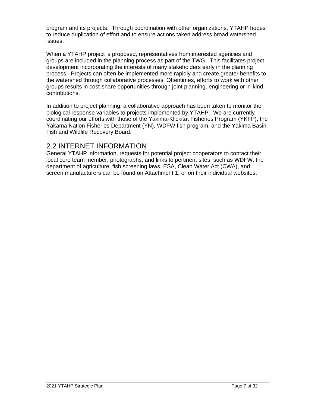program and its projects. Through coordination with other organizations, YTAHP hopes to reduce duplication of effort and to ensure actions taken address broad watershed issues.

When a YTAHP project is proposed, representatives from interested agencies and groups are included in the planning process as part of the TWG. This facilitates project development incorporating the interests of many stakeholders early in the planning process. Projects can often be implemented more rapidly and create greater benefits to the watershed through collaborative processes. Oftentimes, efforts to work with other groups results in cost-share opportunities through joint planning, engineering or in-kind contributions.

In addition to project planning, a collaborative approach has been taken to monitor the biological response variables to projects implemented by YTAHP. We are currently coordinating our efforts with those of the Yakima-Klickitat Fisheries Program (YKFP), the Yakama Nation Fisheries Department (YN), WDFW fish program, and the Yakima Basin Fish and Wildlife Recovery Board.

### <span id="page-8-0"></span>2.2 INTERNET INFORMATION

General YTAHP information, requests for potential project cooperators to contact their local core team member, photographs, and links to pertinent sites, such as WDFW, the department of agriculture, fish screening laws, ESA, Clean Water Act (CWA), and screen manufacturers can be found on Attachment 1, or on their individual websites.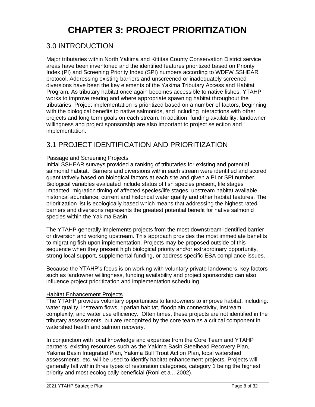## **CHAPTER 3: PROJECT PRIORITIZATION**

## <span id="page-9-1"></span><span id="page-9-0"></span>3.0 INTRODUCTION

Major tributaries within North Yakima and Kittitas County Conservation District service areas have been inventoried and the identified features prioritized based on Priority Index (PI) and Screening Priority Index (SPI) numbers according to WDFW SSHEAR protocol. Addressing existing barriers and unscreened or inadequately screened diversions have been the key elements of the Yakima Tributary Access and Habitat Program. As tributary habitat once again becomes accessible to native fishes, YTAHP works to improve rearing and where appropriate spawning habitat throughout the tributaries. Project implementation is prioritized based on a number of factors, beginning with the biological benefits to native salmonids, and including interactions with other projects and long term goals on each stream. In addition, funding availability, landowner willingness and project sponsorship are also important to project selection and implementation.

## <span id="page-9-2"></span>3.1 PROJECT IDENTIFICATION AND PRIORITIZATION

### Passage and Screening Projects

Initial SSHEAR surveys provided a ranking of tributaries for existing and potential salmonid habitat. Barriers and diversions within each stream were identified and scored quantitatively based on biological factors at each site and given a PI or SPI number. Biological variables evaluated include status of fish species present, life stages impacted, migration timing of affected species/life stages, upstream habitat available, historical abundance, current and historical water quality and other habitat features. The prioritization list is ecologically based which means that addressing the highest rated barriers and diversions represents the greatest potential benefit for native salmonid species within the Yakima Basin.

The YTAHP generally implements projects from the most downstream-identified barrier or diversion and working upstream. This approach provides the most immediate benefits to migrating fish upon implementation. Projects may be proposed outside of this sequence when they present high biological priority and/or extraordinary opportunity, strong local support, supplemental funding, or address specific ESA compliance issues.

Because the YTAHP's focus is on working with voluntary private landowners, key factors such as landowner willingness, funding availability and project sponsorship can also influence project prioritization and implementation scheduling.

### Habitat Enhancement Projects

The YTAHP provides voluntary opportunities to landowners to improve habitat, including: water quality, instream flows, riparian habitat, floodplain connectivity, instream complexity, and water use efficiency. Often times, these projects are not identified in the tributary assessments, but are recognized by the core team as a critical component in watershed health and salmon recovery.

In conjunction with local knowledge and expertise from the Core Team and YTAHP partners, existing resources such as the Yakima Basin Steelhead Recovery Plan, Yakima Basin Integrated Plan, Yakima Bull Trout Action Plan, local watershed assessments, etc. will be used to identify habitat enhancement projects. Projects will generally fall within three types of restoration categories, category 1 being the highest priority and most ecologically beneficial (Roni et al., 2002).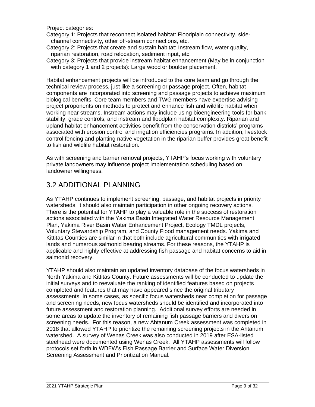Project categories:

Category 1: Projects that reconnect isolated habitat: Floodplain connectivity, sidechannel connectivity, other off-stream connections, etc.

Category 2: Projects that create and sustain habitat: Instream flow, water quality, riparian restoration, road relocation, sediment input, etc.

Category 3: Projects that provide instream habitat enhancement (May be in conjunction with category 1 and 2 projects): Large wood or boulder placement.

Habitat enhancement projects will be introduced to the core team and go through the technical review process, just like a screening or passage project. Often, habitat components are incorporated into screening and passage projects to achieve maximum biological benefits. Core team members and TWG members have expertise advising project proponents on methods to protect and enhance fish and wildlife habitat when working near streams. Instream actions may include using bioengineering tools for bank stability, grade controls, and instream and floodplain habitat complexity. Riparian and upland habitat enhancement activities benefit from the conservation districts' programs associated with erosion control and irrigation efficiencies programs. In addition, livestock control fencing and planting native vegetation in the riparian buffer provides great benefit to fish and wildlife habitat restoration.

As with screening and barrier removal projects, YTAHP's focus working with voluntary private landowners may influence project implementation scheduling based on landowner willingness.

## <span id="page-10-0"></span>3.2 ADDITIONAL PLANNING

As YTAHP continues to implement screening, passage, and habitat projects in priority watersheds, it should also maintain participation in other ongoing recovery actions. There is the potential for YTAHP to play a valuable role in the success of restoration actions associated with the Yakima Basin Integrated Water Resource Management Plan, Yakima River Basin Water Enhancement Project, Ecology TMDL projects, Voluntary Stewardship Program, and County Flood management needs. Yakima and Kittitas Counties are similar in that both include agricultural communities with irrigated lands and numerous salmonid bearing streams. For these reasons, the YTAHP is applicable and highly effective at addressing fish passage and habitat concerns to aid in salmonid recovery.

YTAHP should also maintain an updated inventory database of the focus watersheds in North Yakima and Kittitas County. Future assessments will be conducted to update the initial surveys and to reevaluate the ranking of identified features based on projects completed and features that may have appeared since the original tributary assessments. In some cases, as specific focus watersheds near completion for passage and screening needs, new focus watersheds should be identified and incorporated into future assessment and restoration planning. Additional survey efforts are needed in some areas to update the inventory of remaining fish passage barriers and diversion screening needs. For this reason, a new Ahtanum Creek assessment was completed in 2018 that allowed YTAHP to prioritize the remaining screening projects in the Ahtanum watershed. A survey of Wenas Creek was also conducted in 2019 after ESA-listed steelhead were documented using Wenas Creek. All YTAHP assessments will follow protocols set forth in WDFW's Fish Passage Barrier and Surface Water Diversion Screening Assessment and Prioritization Manual.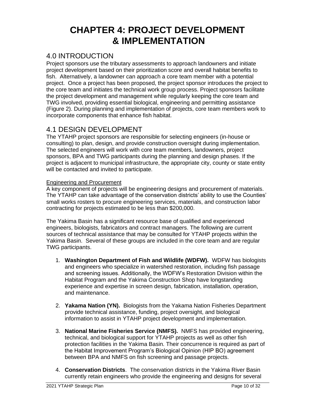## <span id="page-11-0"></span>**CHAPTER 4: PROJECT DEVELOPMENT & IMPLEMENTATION**

## <span id="page-11-1"></span>4.0 INTRODUCTION

Project sponsors use the tributary assessments to approach landowners and initiate project development based on their prioritization score and overall habitat benefits to fish. Alternatively, a landowner can approach a core team member with a potential project. Once a project has been proposed, the project sponsor introduces the project to the core team and initiates the technical work group process. Project sponsors facilitate the project development and management while regularly keeping the core team and TWG involved, providing essential biological, engineering and permitting assistance (Figure 2). During planning and implementation of projects, core team members work to incorporate components that enhance fish habitat.

## <span id="page-11-2"></span>4.1 DESIGN DEVELOPMENT

The YTAHP project sponsors are responsible for selecting engineers (in-house or consulting) to plan, design, and provide construction oversight during implementation. The selected engineers will work with core team members, landowners, project sponsors, BPA and TWG participants during the planning and design phases. If the project is adjacent to municipal infrastructure, the appropriate city, county or state entity will be contacted and invited to participate.

### Engineering and Procurement

A key component of projects will be engineering designs and procurement of materials. The YTAHP can take advantage of the conservation districts' ability to use the Counties' small works rosters to procure engineering services, materials, and construction labor contracting for projects estimated to be less than \$200,000.

The Yakima Basin has a significant resource base of qualified and experienced engineers, biologists, fabricators and contract managers. The following are current sources of technical assistance that may be consulted for YTAHP projects within the Yakima Basin. Several of these groups are included in the core team and are regular TWG participants.

- 1. **Washington Department of Fish and Wildlife (WDFW).** WDFW has biologists and engineers who specialize in watershed restoration, including fish passage and screening issues. Additionally, the WDFW's Restoration Division within the Habitat Program and the Yakima Construction Shop have longstanding experience and expertise in screen design, fabrication, installation, operation, and maintenance.
- 2. **Yakama Nation (YN).** Biologists from the Yakama Nation Fisheries Department provide technical assistance, funding, project oversight, and biological information to assist in YTAHP project development and implementation.
- 3. **National Marine Fisheries Service (NMFS).** NMFS has provided engineering, technical, and biological support for YTAHP projects as well as other fish protection facilities in the Yakima Basin. Their concurrence is required as part of the Habitat Improvement Program's Biological Opinion (HIP BO) agreement between BPA and NMFS on fish screening and passage projects.
- 4. **Conservation Districts**. The conservation districts in the Yakima River Basin currently retain engineers who provide the engineering and designs for several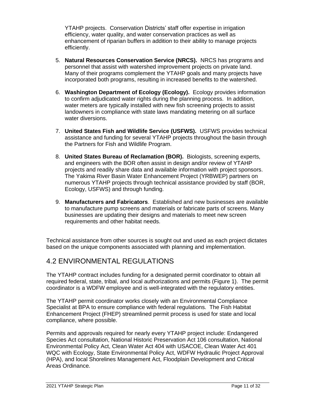YTAHP projects. Conservation Districts' staff offer expertise in irrigation efficiency, water quality, and water conservation practices as well as enhancement of riparian buffers in addition to their ability to manage projects efficiently.

- 5. **Natural Resources Conservation Service (NRCS).** NRCS has programs and personnel that assist with watershed improvement projects on private land. Many of their programs complement the YTAHP goals and many projects have incorporated both programs, resulting in increased benefits to the watershed.
- 6. **Washington Department of Ecology (Ecology).** Ecology provides information to confirm adjudicated water rights during the planning process. In addition, water meters are typically installed with new fish screening projects to assist landowners in compliance with state laws mandating metering on all surface water diversions.
- 7. **United States Fish and Wildlife Service (USFWS).** USFWS provides technical assistance and funding for several YTAHP projects throughout the basin through the Partners for Fish and Wildlife Program.
- 8. **United States Bureau of Reclamation (BOR).** Biologists, screening experts, and engineers with the BOR often assist in design and/or review of YTAHP projects and readily share data and available information with project sponsors. The Yakima River Basin Water Enhancement Project (YRBWEP) partners on numerous YTAHP projects through technical assistance provided by staff (BOR, Ecology, USFWS) and through funding.
- 9. **Manufacturers and Fabricators**. Established and new businesses are available to manufacture pump screens and materials or fabricate parts of screens. Many businesses are updating their designs and materials to meet new screen requirements and other habitat needs.

Technical assistance from other sources is sought out and used as each project dictates based on the unique components associated with planning and implementation.

## <span id="page-12-0"></span>4.2 ENVIRONMENTAL REGULATIONS

The YTAHP contract includes funding for a designated permit coordinator to obtain all required federal, state, tribal, and local authorizations and permits (Figure 1). The permit coordinator is a WDFW employee and is well-integrated with the regulatory entities.

The YTAHP permit coordinator works closely with an Environmental Compliance Specialist at BPA to ensure compliance with federal regulations. The Fish Habitat Enhancement Project (FHEP) streamlined permit process is used for state and local compliance, where possible.

Permits and approvals required for nearly every YTAHP project include: Endangered Species Act consultation, National Historic Preservation Act 106 consultation, National Environmental Policy Act, Clean Water Act 404 with USACOE, Clean Water Act 401 WQC with Ecology, State Environmental Policy Act, WDFW Hydraulic Project Approval (HPA), and local Shorelines Management Act, Floodplain Development and Critical Areas Ordinance.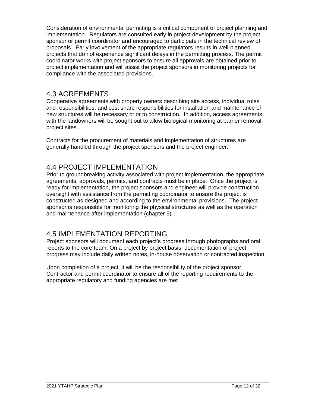Consideration of environmental permitting is a critical component of project planning and implementation. Regulators are consulted early in project development by the project sponsor or permit coordinator and encouraged to participate in the technical review of proposals. Early involvement of the appropriate regulators results in well-planned projects that do not experience significant delays in the permitting process. The permit coordinator works with project sponsors to ensure all approvals are obtained prior to project implementation and will assist the project sponsors in monitoring projects for compliance with the associated provisions.

## <span id="page-13-0"></span>4.3 AGREEMENTS

Cooperative agreements with property owners describing site access, individual roles and responsibilities, and cost share responsibilities for installation and maintenance of new structures will be necessary prior to construction. In addition, access agreements with the landowners will be sought out to allow biological monitoring at barrier removal project sites.

Contracts for the procurement of materials and implementation of structures are generally handled through the project sponsors and the project engineer.

## <span id="page-13-1"></span>4.4 PROJECT IMPLEMENTATION

Prior to groundbreaking activity associated with project implementation, the appropriate agreements, approvals, permits, and contracts must be in place. Once the project is ready for implementation, the project sponsors and engineer will provide construction oversight with assistance from the permitting coordinator to ensure the project is constructed as designed and according to the environmental provisions. The project sponsor is responsible for monitoring the physical structures as well as the operation and maintenance after implementation (chapter 5).

## <span id="page-13-2"></span>4.5 IMPLEMENTATION REPORTING

Project sponsors will document each project's progress through photographs and oral reports to the core team. On a project by project basis, documentation of project progress may include daily written notes, in-house observation or contracted inspection.

Upon completion of a project, it will be the responsibility of the project sponsor, Contractor and permit coordinator to ensure all of the reporting requirements to the appropriate regulatory and funding agencies are met.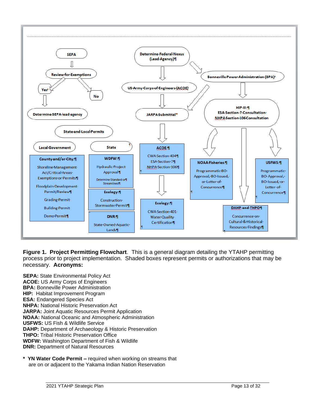

**Figure 1. Project Permitting Flowchart**. This is a general diagram detailing the YTAHP permitting process prior to project implementation. Shaded boxes represent permits or authorizations that may be necessary. **Acronyms:**

**SEPA:** State Environmental Policy Act **ACOE:** US Army Corps of Engineers **BPA:** Bonneville Power Administration **HIP:** Habitat Improvement Program **ESA:** Endangered Species Act **NHPA:** National Historic Preservation Act **JARPA:** Joint Aquatic Resources Permit Application **NOAA:** National Oceanic and Atmospheric Administration **USFWS:** US Fish & Wildlife Service **DAHP:** Department of Archaeology & Historic Preservation **THPO:** Tribal Historic Preservation Office **WDFW:** Washington Department of Fish & Wildlife **DNR:** Department of Natural Resources

YN Water Code Permit – required when working on streams that are on or adjacent to the Yakama Indian Nation Reservation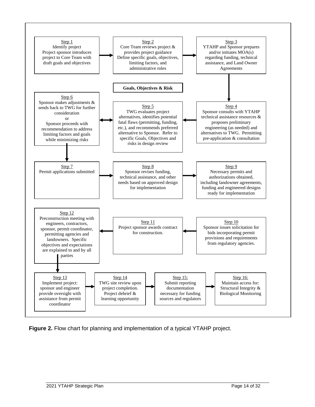

**Figure 2.** Flow chart for planning and implementation of a typical YTAHP project.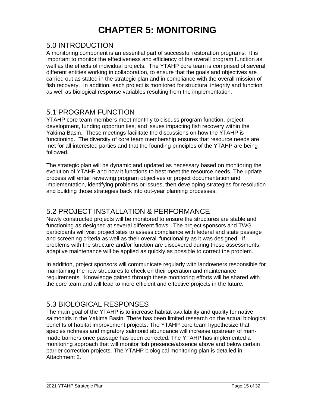## **CHAPTER 5: MONITORING**

### <span id="page-16-1"></span><span id="page-16-0"></span>5.0 INTRODUCTION

A monitoring component is an essential part of successful restoration programs. It is important to monitor the effectiveness and efficiency of the overall program function as well as the effects of individual projects. The YTAHP core team is comprised of several different entities working in collaboration, to ensure that the goals and objectives are carried out as stated in the strategic plan and in compliance with the overall mission of fish recovery. In addition, each project is monitored for structural integrity and function as well as biological response variables resulting from the implementation.

### <span id="page-16-2"></span>5.1 PROGRAM FUNCTION

YTAHP core team members meet monthly to discuss program function, project development, funding opportunities, and issues impacting fish recovery within the Yakima Basin. These meetings facilitate the discussions on how the YTAHP is functioning. The diversity of core team membership ensures that resource needs are met for all interested parties and that the founding principles of the YTAHP are being followed.

The strategic plan will be dynamic and updated as necessary based on monitoring the evolution of YTAHP and how it functions to best meet the resource needs. The update process will entail reviewing program objectives or project documentation and implementation, identifying problems or issues, then developing strategies for resolution and building those strategies back into out-year planning processes.

## <span id="page-16-3"></span>5.2 PROJECT INSTALLATION & PERFORMANCE

Newly constructed projects will be monitored to ensure the structures are stable and functioning as designed at several different flows. The project sponsors and TWG participants will visit project sites to assess compliance with federal and state passage and screening criteria as well as their overall functionality as it was designed. If problems with the structure and/or function are discovered during these assessments, adaptive maintenance will be applied as quickly as possible to correct the problem.

In addition, project sponsors will communicate regularly with landowners responsible for maintaining the new structures to check on their operation and maintenance requirements. Knowledge gained through these monitoring efforts will be shared with the core team and will lead to more efficient and effective projects in the future.

## <span id="page-16-4"></span>5.3 BIOLOGICAL RESPONSES

The main goal of the YTAHP is to increase habitat availability and quality for native salmonids in the Yakima Basin. There has been limited research on the actual biological benefits of habitat improvement projects. The YTAHP core team hypothesize that species richness and migratory salmonid abundance will increase upstream of manmade barriers once passage has been corrected. The YTAHP has implemented a monitoring approach that will monitor fish presence/absence above and below certain barrier correction projects. The YTAHP biological monitoring plan is detailed in Attachment 2.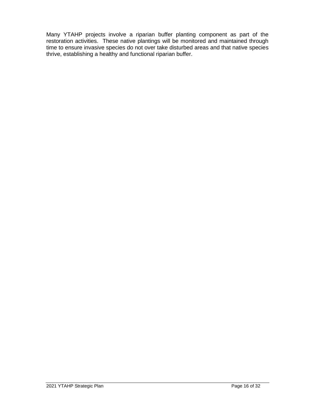Many YTAHP projects involve a riparian buffer planting component as part of the restoration activities. These native plantings will be monitored and maintained through time to ensure invasive species do not over take disturbed areas and that native species thrive, establishing a healthy and functional riparian buffer.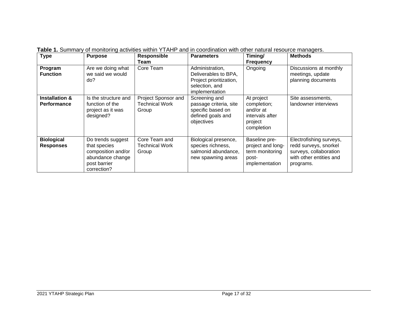| <b>Type</b>                                     | <b>Purpose</b>                                                                                             | <b>Responsible</b><br>Team                            | <b>Parameters</b>                                                                                      | Timing/<br><b>Frequency</b>                                                        | <b>Methods</b>                                                                                                     |
|-------------------------------------------------|------------------------------------------------------------------------------------------------------------|-------------------------------------------------------|--------------------------------------------------------------------------------------------------------|------------------------------------------------------------------------------------|--------------------------------------------------------------------------------------------------------------------|
| Program<br><b>Function</b>                      | Are we doing what<br>we said we would<br>do?                                                               | Core Team                                             | Administration,<br>Deliverables to BPA,<br>Project prioritization,<br>selection, and<br>implementation | Ongoing                                                                            | Discussions at monthly<br>meetings, update<br>planning documents                                                   |
| <b>Installation &amp;</b><br><b>Performance</b> | Is the structure and<br>function of the<br>project as it was<br>designed?                                  | Project Sponsor and<br><b>Technical Work</b><br>Group | Screening and<br>passage criteria, site<br>specific based on<br>defined goals and<br>objectives        | At project<br>completion;<br>and/or at<br>intervals after<br>project<br>completion | Site assessments,<br>landowner interviews                                                                          |
| <b>Biological</b><br><b>Responses</b>           | Do trends suggest<br>that species<br>composition and/or<br>abundance change<br>post barrier<br>correction? | Core Team and<br><b>Technical Work</b><br>Group       | Biological presence,<br>species richness,<br>salmonid abundance,<br>new spawning areas                 | Baseline pre-<br>project and long-<br>term monitoring<br>post-<br>implementation   | Electrofishing surveys,<br>redd surveys, snorkel<br>surveys, collaboration<br>with other entities and<br>programs. |

**Table 1.** Summary of monitoring activities within YTAHP and in coordination with other natural resource managers.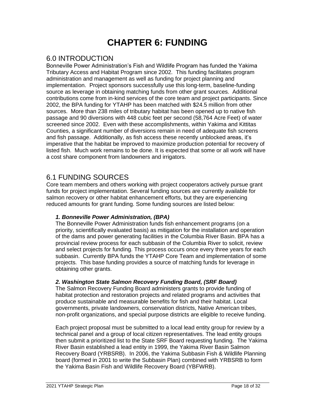## **CHAPTER 6: FUNDING**

## <span id="page-19-1"></span><span id="page-19-0"></span>6.0 INTRODUCTION

Bonneville Power Administration's Fish and Wildlife Program has funded the Yakima Tributary Access and Habitat Program since 2002. This funding facilitates program administration and management as well as funding for project planning and implementation. Project sponsors successfully use this long-term, baseline-funding source as leverage in obtaining matching funds from other grant sources. Additional contributions come from in-kind services of the core team and project participants. Since 2002, the BPA funding for YTAHP has been matched with \$24.5 million from other sources. More than 238 miles of tributary habitat has been opened up to native fish passage and 90 diversions with 448 cubic feet per second (58,764 Acre Feet) of water screened since 2002. Even with these accomplishments, within Yakima and Kittitas Counties, a significant number of diversions remain in need of adequate fish screens and fish passage. Additionally, as fish access these recently unblocked areas, it's imperative that the habitat be improved to maximize production potential for recovery of listed fish. Much work remains to be done. It is expected that some or all work will have a cost share component from landowners and irrigators.

### <span id="page-19-2"></span>6.1 FUNDING SOURCES

Core team members and others working with project cooperators actively pursue grant funds for project implementation. Several funding sources are currently available for salmon recovery or other habitat enhancement efforts, but they are experiencing reduced amounts for grant funding. Some funding sources are listed below:

### *1. Bonneville Power Administration, (BPA)*

The Bonneville Power Administration funds fish enhancement programs (on a priority, scientifically evaluated basis) as mitigation for the installation and operation of the dams and power generating facilities in the Columbia River Basin. BPA has a provincial review process for each subbasin of the Columbia River to solicit, review and select projects for funding. This process occurs once every three years for each subbasin. Currently BPA funds the YTAHP Core Team and implementation of some projects. This base funding provides a source of matching funds for leverage in obtaining other grants.

### *2. Washington State Salmon Recovery Funding Board, (SRF Board)*

The Salmon Recovery Funding Board administers grants to provide funding of habitat protection and restoration projects and related programs and activities that produce sustainable and measurable benefits for fish and their habitat. Local governments, private landowners, conservation districts, Native American tribes, non-profit organizations, and special purpose districts are eligible to receive funding.

Each project proposal must be submitted to a local lead entity group for review by a technical panel and a group of local citizen representatives. The lead entity groups then submit a prioritized list to the State SRF Board requesting funding. The Yakima River Basin established a lead entity in 1999, the Yakima River Basin Salmon Recovery Board (YRBSRB). In 2006, the Yakima Subbasin Fish & Wildlife Planning board (formed in 2001 to write the Subbasin Plan) combined with YRBSRB to form the Yakima Basin Fish and Wildlife Recovery Board (YBFWRB).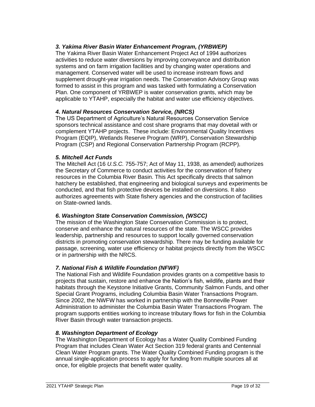### *3. Yakima River Basin Water Enhancement Program, (YRBWEP)*

The Yakima River Basin Water Enhancement Project Act of 1994 authorizes activities to reduce water diversions by improving conveyance and distribution systems and on farm irrigation facilities and by changing water operations and management. Conserved water will be used to increase instream flows and supplement drought-year irrigation needs. The Conservation Advisory Group was formed to assist in this program and was tasked with formulating a Conservation Plan. One component of YRBWEP is water conservation grants, which may be applicable to YTAHP, especially the habitat and water use efficiency objectives.

#### *4. Natural Resources Conservation Service, (NRCS)*

The US Department of Agriculture's Natural Resources Conservation Service sponsors technical assistance and cost share programs that may dovetail with or complement YTAHP projects. These include: Environmental Quality Incentives Program (EQIP), Wetlands Reserve Program (WRP), Conservation Stewardship Program (CSP) and Regional Conservation Partnership Program (RCPP).

#### *5. Mitchell Act Funds*

The Mitchell Act (16 *U.S.C.* 755-757; Act of May 11, 1938, as amended) authorizes the Secretary of Commerce to conduct activities for the conservation of fishery resources in the Columbia River Basin. This Act specifically directs that salmon hatchery be established, that engineering and biological surveys and experiments be conducted, and that fish protective devices be installed on diversions. It also authorizes agreements with State fishery agencies and the construction of facilities on State-owned lands.

### *6. Washington State Conservation Commission, (WSCC)*

The mission of the Washington State Conservation Commission is to protect, conserve and enhance the natural resources of the state. The WSCC provides leadership, partnership and resources to support [locally governed conservation](file:///C:/districts)  [districts](file:///C:/districts) in promoting conservation stewardship. There may be funding available for passage, screening, water use efficiency or habitat projects directly from the WSCC or in partnership with the NRCS.

### *7. National Fish & Wildlife Foundation (NFWF)*

The National Fish and Wildlife Foundation provides grants on a competitive basis to projects that sustain, restore and enhance the Nation's fish, wildlife, plants and their habitats through the Keystone Initiative Grants, Community Salmon Funds, and other Special Grant Programs, including [Columbia Basin Water Transactions Program.](http://www.nfwf.org/AM/TemplateRedirect.cfm?template=/CM/ContentDisplay.cfm&ContentID=4592) Since 2002, the NWFW has worked in partnership with the Bonneville Power Administration to administer the Columbia Basin Water Transactions Program. The program supports entities working to increase tributary flows for fish in the Columbia River Basin through water transaction projects.

#### *8. Washington Department of Ecology*

The Washington Department of Ecology has a Water Quality Combined Funding Program that includes Clean Water Act Section 319 federal grants and Centennial Clean Water Program grants. The Water Quality Combined Funding program is the annual single-application process to apply for funding from multiple sources all at once, for eligible projects that benefit water quality.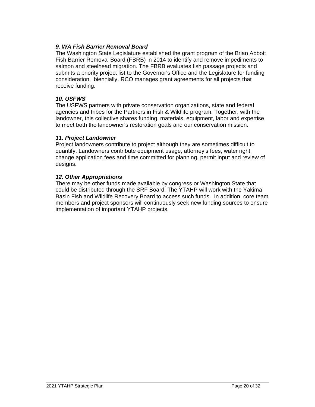### *9. WA Fish Barrier Removal Board*

The Washington State Legislature established the grant program of the Brian Abbott Fish Barrier Removal Board (FBRB) in 2014 to identify and remove impediments to salmon and steelhead migration. The FBRB evaluates fish passage projects and submits a priority project list to the Governor's Office and the Legislature for funding consideration. biennially. RCO manages grant agreements for all projects that receive funding.

### *10. USFWS*

The USFWS partners with private conservation organizations, state and federal agencies and tribes for the Partners in Fish & Wildlife program. Together, with the landowner, this collective shares funding, materials, equipment, labor and expertise to meet both the landowner's restoration goals and our conservation mission.

### *11. Project Landowner*

Project landowners contribute to project although they are sometimes difficult to quantify. Landowners contribute equipment usage, attorney's fees, water right change application fees and time committed for planning, permit input and review of designs.

### *12. Other Appropriations*

There may be other funds made available by congress or Washington State that could be distributed through the SRF Board. The YTAHP will work with the Yakima Basin Fish and Wildlife Recovery Board to access such funds. In addition, core team members and project sponsors will continuously seek new funding sources to ensure implementation of important YTAHP projects.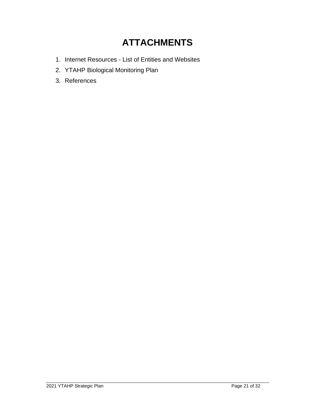## **ATTACHMENTS**

- <span id="page-22-0"></span>1. Internet Resources - List of Entities and Websites
- 2. YTAHP Biological Monitoring Plan
- 3. References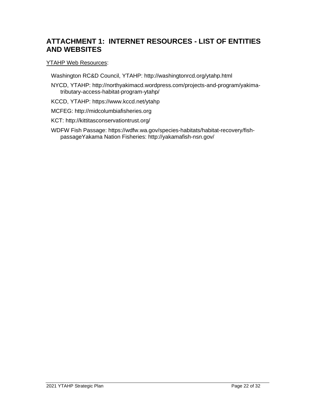## <span id="page-23-0"></span>**ATTACHMENT 1: INTERNET RESOURCES - LIST OF ENTITIES AND WEBSITES**

### YTAHP Web Resources:

Washington RC&D Council, YTAHP: http://washingtonrcd.org/ytahp.html

NYCD, YTAHP: http://northyakimacd.wordpress.com/projects-and-program/yakimatributary-access-habitat-program-ytahp/

KCCD, YTAHP: https://www.kccd.net/ytahp

MCFEG: http://midcolumbiafisheries.org

KCT: http://kittitasconservationtrust.org/

WDFW Fish Passage: https://wdfw.wa.gov/species-habitats/habitat-recovery/fishpassageYakama Nation Fisheries: http://yakamafish-nsn.gov/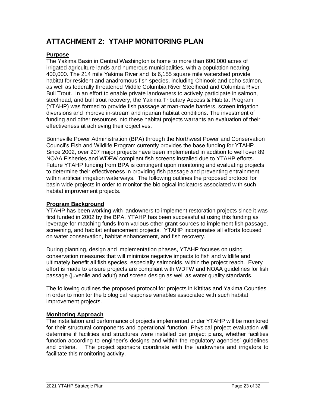## <span id="page-24-0"></span>**ATTACHMENT 2: YTAHP MONITORING PLAN**

### **Purpose**

The Yakima Basin in Central Washington is home to more than 600,000 acres of irrigated agriculture lands and numerous municipalities, with a population nearing 400,000. The 214 mile Yakima River and its 6,155 square mile watershed provide habitat for resident and anadromous fish species, including Chinook and coho salmon, as well as federally threatened Middle Columbia River Steelhead and Columbia River Bull Trout. In an effort to enable private landowners to actively participate in salmon, steelhead, and bull trout recovery, the Yakima Tributary Access & Habitat Program (YTAHP) was formed to provide fish passage at man-made barriers, screen irrigation diversions and improve in-stream and riparian habitat conditions. The investment of funding and other resources into these habitat projects warrants an evaluation of their effectiveness at achieving their objectives.

Bonneville Power Administration (BPA) through the Northwest Power and Conservation Council's Fish and Wildlife Program currently provides the base funding for YTAHP. Since 2002, over 207 major projects have been implemented in addition to well over 89 NOAA Fisheries and WDFW compliant fish screens installed due to YTAHP efforts. Future YTAHP funding from BPA is contingent upon monitoring and evaluating projects to determine their effectiveness in providing fish passage and preventing entrainment within artificial irrigation waterways. The following outlines the proposed protocol for basin wide projects in order to monitor the biological indicators associated with such habitat improvement projects.

### **Program Background**

YTAHP has been working with landowners to implement restoration projects since it was first funded in 2002 by the BPA. YTAHP has been successful at using this funding as leverage for matching funds from various other grant sources to implement fish passage, screening, and habitat enhancement projects. YTAHP incorporates all efforts focused on water conservation, habitat enhancement, and fish recovery.

During planning, design and implementation phases, YTAHP focuses on using conservation measures that will minimize negative impacts to fish and wildlife and ultimately benefit all fish species, especially salmonids, within the project reach. Every effort is made to ensure projects are compliant with WDFW and NOAA guidelines for fish passage (juvenile and adult) and screen design as well as water quality standards.

The following outlines the proposed protocol for projects in Kittitas and Yakima Counties in order to monitor the biological response variables associated with such habitat improvement projects.

### **Monitoring Approach**

The installation and performance of projects implemented under YTAHP will be monitored for their structural components and operational function. Physical project evaluation will determine if facilities and structures were installed per project plans, whether facilities function according to engineer's designs and within the regulatory agencies' guidelines and criteria. The project sponsors coordinate with the landowners and irrigators to facilitate this monitoring activity.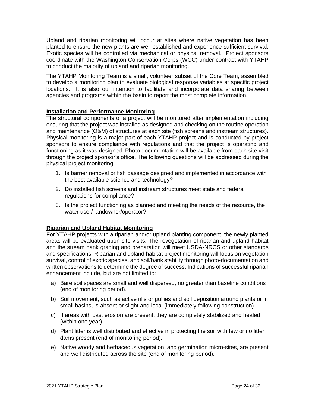Upland and riparian monitoring will occur at sites where native vegetation has been planted to ensure the new plants are well established and experience sufficient survival. Exotic species will be controlled via mechanical or physical removal. Project sponsors coordinate with the Washington Conservation Corps (WCC) under contract with YTAHP to conduct the majority of upland and riparian monitoring.

The YTAHP Monitoring Team is a small, volunteer subset of the Core Team, assembled to develop a monitoring plan to evaluate biological response variables at specific project locations. It is also our intention to facilitate and incorporate data sharing between agencies and programs within the basin to report the most complete information.

### **Installation and Performance Monitoring**

The structural components of a project will be monitored after implementation including ensuring that the project was installed as designed and checking on the routine operation and maintenance (O&M) of structures at each site (fish screens and instream structures). Physical monitoring is a major part of each YTAHP project and is conducted by project sponsors to ensure compliance with regulations and that the project is operating and functioning as it was designed. Photo documentation will be available from each site visit through the project sponsor's office. The following questions will be addressed during the physical project monitoring:

- 1. Is barrier removal or fish passage designed and implemented in accordance with the best available science and technology?
- 2. Do installed fish screens and instream structures meet state and federal regulations for compliance?
- 3. Is the project functioning as planned and meeting the needs of the resource, the water user/ landowner/operator?

### **Riparian and Upland Habitat Monitoring**

For YTAHP projects with a riparian and/or upland planting component, the newly planted areas will be evaluated upon site visits. The revegetation of riparian and upland habitat and the stream bank grading and preparation will meet USDA-NRCS or other standards and specifications. Riparian and upland habitat project monitoring will focus on vegetation survival, control of exotic species, and soil/bank stability through photo-documentation and written observations to determine the degree of success. Indications of successful riparian enhancement include, but are not limited to:

- a) Bare soil spaces are small and well dispersed, no greater than baseline conditions (end of monitoring period).
- b) Soil movement, such as active rills or gullies and soil deposition around plants or in small basins, is absent or slight and local (immediately following construction).
- c) If areas with past erosion are present, they are completely stabilized and healed (within one year).
- d) Plant litter is well distributed and effective in protecting the soil with few or no litter dams present (end of monitoring period).
- e) Native woody and herbaceous vegetation, and germination micro-sites, are present and well distributed across the site (end of monitoring period).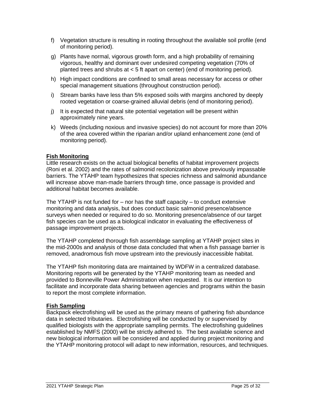- f) Vegetation structure is resulting in rooting throughout the available soil profile (end of monitoring period).
- g) Plants have normal, vigorous growth form, and a high probability of remaining vigorous, healthy and dominant over undesired competing vegetation (70% of planted trees and shrubs at < 5 ft apart on center) (end of monitoring period).
- h) High impact conditions are confined to small areas necessary for access or other special management situations (throughout construction period).
- i) Stream banks have less than 5% exposed soils with margins anchored by deeply rooted vegetation or coarse-grained alluvial debris (end of monitoring period).
- j) It is expected that natural site potential vegetation will be present within approximately nine years.
- k) Weeds (including noxious and invasive species) do not account for more than 20% of the area covered within the riparian and/or upland enhancement zone (end of monitoring period).

### **Fish Monitoring**

Little research exists on the actual biological benefits of habitat improvement projects (Roni et al. 2002) and the rates of salmonid recolonization above previously impassable barriers. The YTAHP team hypothesizes that species richness and salmonid abundance will increase above man-made barriers through time, once passage is provided and additional habitat becomes available.

The YTAHP is not funded for – nor has the staff capacity – to conduct extensive monitoring and data analysis, but does conduct basic salmonid presence/absence surveys when needed or required to do so. Monitoring presence/absence of our target fish species can be used as a biological indicator in evaluating the effectiveness of passage improvement projects.

The YTAHP completed thorough fish assemblage sampling at YTAHP project sites in the mid-2000s and analysis of those data concluded that when a fish passage barrier is removed, anadromous fish move upstream into the previously inaccessible habitat.

The YTAHP fish monitoring data are maintained by WDFW in a centralized database. Monitoring reports will be generated by the YTAHP monitoring team as needed and provided to Bonneville Power Administration when requested. It is our intention to facilitate and incorporate data sharing between agencies and programs within the basin to report the most complete information.

### **Fish Sampling**

Backpack electrofishing will be used as the primary means of gathering fish abundance data in selected tributaries. Electrofishing will be conducted by or supervised by qualified biologists with the appropriate sampling permits. The electrofishing guidelines established by NMFS (2000) will be strictly adhered to. The best available science and new biological information will be considered and applied during project monitoring and the YTAHP monitoring protocol will adapt to new information, resources, and techniques.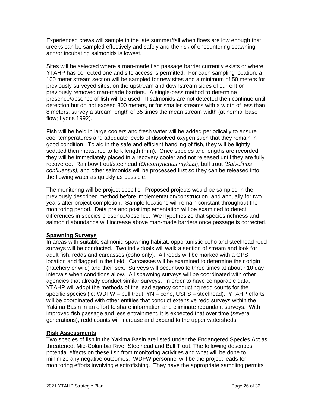Experienced crews will sample in the late summer/fall when flows are low enough that creeks can be sampled effectively and safely and the risk of encountering spawning and/or incubating salmonids is lowest.

Sites will be selected where a man-made fish passage barrier currently exists or where YTAHP has corrected one and site access is permitted. For each sampling location, a 100 meter stream section will be sampled for new sites and a minimum of 50 meters for previously surveyed sites, on the upstream and downstream sides of current or previously removed man-made barriers. A single-pass method to determine presence/absence of fish will be used. If salmonids are not detected then continue until detection but do not exceed 300 meters, or for smaller streams with a width of less than 8 meters, survey a stream length of 35 times the mean stream width (at normal base flow; Lyons 1992).

Fish will be held in large coolers and fresh water will be added periodically to ensure cool temperatures and adequate levels of dissolved oxygen such that they remain in good condition. To aid in the safe and efficient handling of fish, they will be lightly sedated then measured to fork length (mm). Once species and lengths are recorded, they will be immediately placed in a recovery cooler and not released until they are fully recovered. Rainbow trout/steelhead (*Oncorhynchus mykiss)*, bull trout *(Salvelinus confluentus),* and other salmonids will be processed first so they can be released into the flowing water as quickly as possible.

The monitoring will be project specific. Proposed projects would be sampled in the previously described method before implementation/construction, and annually for two years after project completion. Sample locations will remain constant throughout the monitoring period. Data pre and post implementation will be examined to detect differences in species presence/absence. We hypothesize that species richness and salmonid abundance will increase above man-made barriers once passage is corrected.

### **Spawning Surveys**

In areas with suitable salmonid spawning habitat, opportunistic coho and steelhead redd surveys will be conducted. Two individuals will walk a section of stream and look for adult fish, redds and carcasses (coho only). All redds will be marked with a GPS location and flagged in the field. Carcasses will be examined to determine their origin (hatchery or wild) and their sex. Surveys will occur two to three times at about ~10 day intervals when conditions allow. All spawning surveys will be coordinated with other agencies that already conduct similar surveys. In order to have comparable data, YTAHP will adopt the methods of the lead agency conducting redd counts for the specific species (ie: WDFW – bull trout, YN – coho, USFS – steelhead). YTAHP efforts will be coordinated with other entities that conduct extensive redd surveys within the Yakima Basin in an effort to share information and eliminate redundant surveys. With improved fish passage and less entrainment, it is expected that over time (several generations), redd counts will increase and expand to the upper watersheds.

### **Risk Assessments**

Two species of fish in the Yakima Basin are listed under the Endangered Species Act as threatened: Mid-Columbia River Steelhead and Bull Trout. The following describes potential effects on these fish from monitoring activities and what will be done to minimize any negative outcomes. WDFW personnel will be the project leads for monitoring efforts involving electrofishing. They have the appropriate sampling permits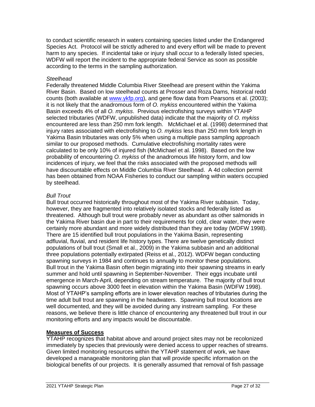to conduct scientific research in waters containing species listed under the Endangered Species Act. Protocol will be strictly adhered to and every effort will be made to prevent harm to any species. If incidental take or injury shall occur to a federally listed species, WDFW will report the incident to the appropriate federal Service as soon as possible according to the terms in the sampling authorization.

#### *Steelhead*

Federally threatened Middle Columbia River Steelhead are present within the Yakima River Basin. Based on low steelhead counts at Prosser and Roza Dams, historical redd counts (both available at [www.ykfp.org\)](http://www.ykfp.org/), and gene flow data from Pearsons et al. (2003); it is not likely that the anadromous form of *O. mykiss* encountered within the Yakima Basin exceeds 4% of all *O. mykiss*. Previous electrofishing surveys within YTAHP selected tributaries (WDFW, unpublished data) indicate that the majority of *O. mykiss* encountered are less than 250 mm fork length. McMichael et al. (1998) determined that injury rates associated with electrofishing to *O. mykiss* less than 250 mm fork length in Yakima Basin tributaries was only 5% when using a multiple pass sampling approach similar to our proposed methods. Cumulative electrofishing mortality rates were calculated to be only 10% of injured fish (McMichael et al. 1998). Based on the low probability of encountering *O. mykiss* of the anadromous life history form, and low incidences of injury, we feel that the risks associated with the proposed methods will have discountable effects on Middle Columbia River Steelhead. A 4d collection permit has been obtained from NOAA Fisheries to conduct our sampling within waters occupied by steelhead.

### *Bull Trout*

Bull trout occurred historically throughout most of the Yakima River subbasin. Today, however, they are fragmented into relatively isolated stocks and federally listed as threatened. Although bull trout were probably never as abundant as other salmonids in the Yakima River basin due in part to their requirements for cold, clear water, they were certainly more abundant and more widely distributed than they are today (WDFW 1998). There are 15 identified bull trout populations in the Yakima Basin, representing adfluvial, fluvial, and resident life history types. There are twelve genetically distinct populations of bull trout (Small et al., 2009) in the Yakima subbasin and an additional three populations potentially extirpated (Reiss et al., 2012). WDFW began conducting spawning surveys in 1984 and continues to annually to monitor these populations. Bull trout in the Yakima Basin often begin migrating into their spawning streams in early summer and hold until spawning in September-November. Their eggs incubate until emergence in March-April, depending on stream temperature. The majority of bull trout spawning occurs above 3000 feet in elevation within the Yakima Basin (WDFW 1998). Most of YTAHP's sampling efforts are in lower elevation reaches of tributaries during the time adult bull trout are spawning in the headwaters. Spawning bull trout locations are well documented, and they will be avoided during any instream sampling. For these reasons, we believe there is little chance of encountering any threatened bull trout in our monitoring efforts and any impacts would be discountable.

### **Measures of Success**

YTAHP recognizes that habitat above and around project sites may not be recolonized immediately by species that previously were denied access to upper reaches of streams. Given limited monitoring resources within the YTAHP statement of work, we have developed a manageable monitoring plan that will provide specific information on the biological benefits of our projects. It is generally assumed that removal of fish passage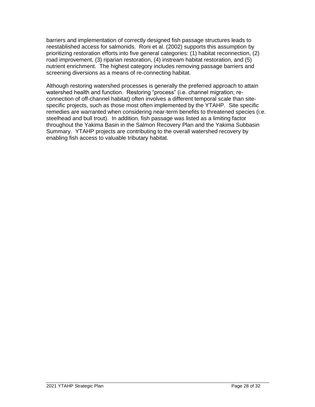barriers and implementation of correctly designed fish passage structures leads to reestablished access for salmonids. Roni et al. (2002) supports this assumption by prioritizing restoration efforts into five general categories: (1) habitat reconnection, (2) road improvement, (3) riparian restoration, (4) instream habitat restoration, and (5) nutrient enrichment. The highest category includes removing passage barriers and screening diversions as a means of re-connecting habitat.

Although restoring watershed processes is generally the preferred approach to attain watershed health and function. Restoring "process" (i.e. channel migration; reconnection of off-channel habitat) often involves a different temporal scale than sitespecific projects, such as those most often implemented by the YTAHP. Site specific remedies are warranted when considering near-term benefits to threatened species (i.e. steelhead and bull trout). In addition, fish passage was listed as a limiting factor throughout the Yakima Basin in the Salmon Recovery Plan and the Yakima Subbasin Summary. YTAHP projects are contributing to the overall watershed recovery by enabling fish access to valuable tributary habitat.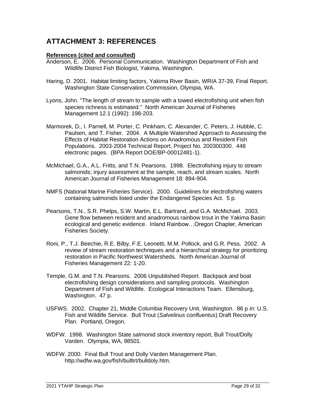## <span id="page-30-0"></span>**ATTACHMENT 3: REFERENCES**

### **References (cited and consulted)**

- Anderson, E. 2006. Personal Communication. Washington Department of Fish and Wildlife District Fish Biologist, Yakima, Washington.
- Haring, D. 2001. Habitat limiting factors, Yakima River Basin, WRIA 37-39, Final Report. Washington State Conservation Commission, Olympia, WA.
- Lyons, John. "The length of stream to sample with a towed electrofishing unit when fish species richness is estimated." North American Journal of Fisheries Management 12.1 (1992): 198-203.
- Marmorek, D., I. Parnell, M. Porter, C. Pinkham, C. Alexander, C. Peters, J. Hubble, C. Paulsen, and T. Fisher. 2004. A Multiple Watershed Approach to Assessing the Effects of Habitat Restoration Actions on Anadromous and Resident Fish Populations. 2003-2004 Technical Report, Project No. 200300300. 448 electronic pages. (BPA Report DOE/BP-00012481-1).
- McMichael, G.A., A.L. Fritts, and T.N. Pearsons. 1998. Electrofishing injury to stream salmonids; injury assessment at the sample, reach, and stream scales. North American Journal of Fisheries Management 18: 894-904.
- NMFS (National Marine Fisheries Service). 2000. Guidelines for electrofishing waters containing salmonids listed under the Endangered Species Act. 5 p.
- Pearsons, T.N., S.R. Phelps, S.W. Martin, E.L. Bartrand, and G.A. McMichael. 2003. Gene flow between resident and anadromous rainbow trout in the Yakima Basin: ecological and genetic evidence. Inland Rainbow…Oregon Chapter, American Fisheries Society.
- Roni, P., T.J. Beechie, R.E. Bilby, F.E. Leonetti, M.M. Pollock, and G.R. Pess. 2002. A review of stream restoration techniques and a hierarchical strategy for prioritizing restoration in Pacific Northwest Watersheds. North American Journal of Fisheries Management 22: 1-20.
- Temple, G.M. and T.N. Pearsons. 2006 Unpublished Report. Backpack and boat electrofishing design considerations and sampling protocols. Washington Department of Fish and Wildlife. Ecological Interactions Team. Ellensburg, Washington. 47 p.
- USFWS. 2002. Chapter 21, Middle Columbia Recovery Unit, Washington. 86 p *in*: U.S. Fish and Wildlife Service. Bull Trout (*Salvelinus confluentus*) Draft Recovery Plan. Portland, Oregon.
- WDFW. 1998. Washington State salmonid stock inventory report, Bull Trout/Dolly Varden. Olympia, WA, 98501.
- WDFW. 2000. Final Bull Trout and Dolly Varden Management Plan. http://wdfw.wa.gov/fish/bulltrt/bulldoly.htm.